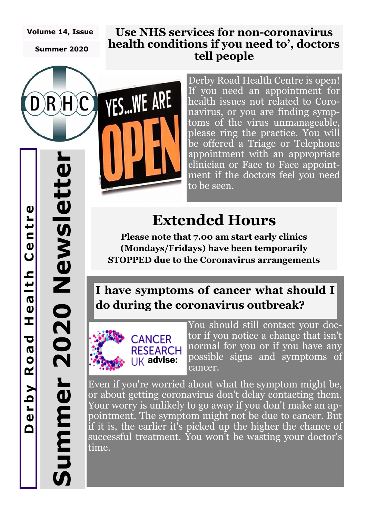#### **Volume 14, Issue**

**Summer 2020**

H)C

 $R$ 

#### **Use NHS services for non-coronavirus health conditions if you need to', doctors tell people**

Derby Road Health Centre is open! If you need an appointment for health issues not related to Coronavirus, or you are finding symptoms of the virus unmanageable, please ring the practice. You will be offered a Triage or Telephone appointment with an appropriate clinician or Face to Face appointment if the doctors feel you need to be seen.

# **Extended Hours**

**Please note that 7.00 am start early clinics (Mondays/Fridays) have been temporarily STOPPED due to the Coronavirus arrangements** 

### **I have symptoms of cancer what should I do during the coronavirus outbreak?**



**YES...WE ARE** 

You should still contact your doctor if you notice a change that isn't normal for you or if you have any possible signs and symptoms of cancer.

Even if you're worried about what the symptom might be, or about getting coronavirus don't delay contacting them. Your worry is unlikely to go away if you don't make an appointment. The symptom might not be due to cancer. But if it is, the earlier it's picked up the higher the chance of successful treatment. You won't be wasting your doctor's time.

**Summer 2020 Newsletter**

jummer

2020 Newslett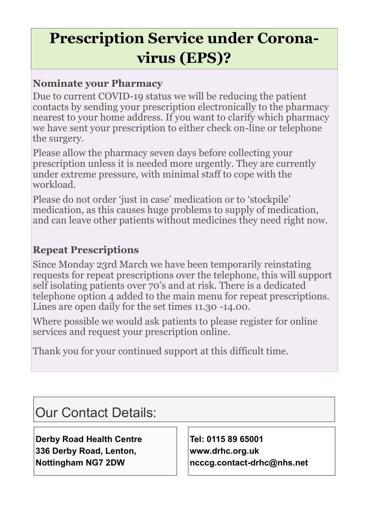# **Prescription Service under Coronavirus (EPS)?**

#### **Nominate your Pharmacy**

Due to current COVID-19 status we will be reducing the patient contacts by sending your prescription electronically to the pharmacy nearest to your home address. If you want to clarify which pharmacy we have sent your prescription to either check on-line or telephone the surgery.

Please allow the pharmacy seven days before collecting your prescription unless it is needed more urgently. They are currently under extreme pressure, with minimal staff to cope with the workload.

Please do not order 'just in case' medication or to 'stockpile' medication, as this causes huge problems to supply of medication, and can leave other patients without medicines they need right now.

### **Repeat Prescriptions**

Since Monday 23rd March we have been temporarily reinstating requests for repeat prescriptions over the telephone, this will support self isolating patients over 70's and at risk. There is a dedicated telephone option 4 added to the main menu for repeat prescriptions. Lines are open daily for the set times 11.30 -14.00.

Where possible we would ask patients to please register for online services and request your prescription online.

Thank you for your continued support at this difficult time.

Our Contact Details:

**Derby Road Health Centre 336 Derby Road, Lenton, Nottingham NG7 2DW**

**Tel: 0115 89 65001 www.drhc.org.uk ncccg.contact-drhc@nhs.net**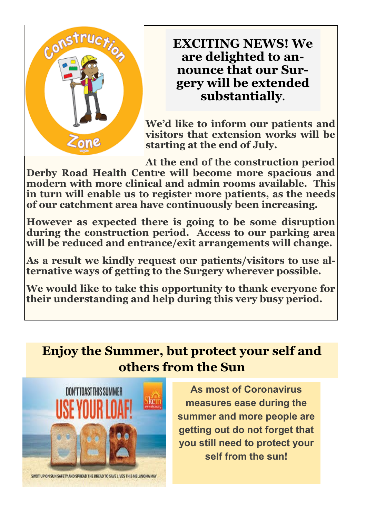

### **EXCITING NEWS! We are delighted to announce that our Surgery will be extended substantially.**

**We'd like to inform our patients and visitors that extension works will be starting at the end of July.** 

**At the end of the construction period Derby Road Health Centre will become more spacious and modern with more clinical and admin rooms available. This in turn will enable us to register more patients, as the needs of our catchment area have continuously been increasing.** 

**However as expected there is going to be some disruption during the construction period. Access to our parking area will be reduced and entrance/exit arrangements will change.** 

**As a result we kindly request our patients/visitors to use alternative ways of getting to the Surgery wherever possible.** 

**We would like to take this opportunity to thank everyone for their understanding and help during this very busy period.** 

### **Enjoy the Summer, but protect your self and others from the Sun**



**As most of Coronavirus measures ease during the summer and more people are getting out do not forget that you still need to protect your self from the sun!**